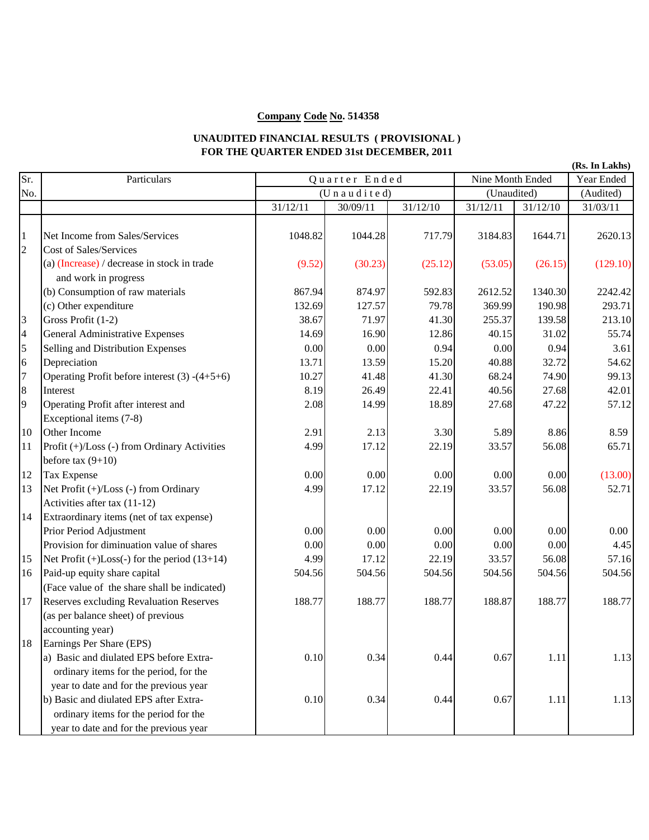## **Company Code No. 514358**

## **UNAUDITED FINANCIAL RESULTS ( PROVISIONAL ) FOR THE QUARTER ENDED 31st DECEMBER, 2011**

| Sr.            | Particulars                                                                                   | Quarter Ended       |          |          | Nine Month Ended |          | Year Ended |  |
|----------------|-----------------------------------------------------------------------------------------------|---------------------|----------|----------|------------------|----------|------------|--|
| No.            |                                                                                               | (U n a u d i t e d) |          |          | (Unaudited)      |          | (Audited)  |  |
|                |                                                                                               | 31/12/11            | 30/09/11 | 31/12/10 | 31/12/11         | 31/12/10 | 31/03/11   |  |
| $\mathbf{1}$   | Net Income from Sales/Services                                                                | 1048.82             | 1044.28  | 717.79   | 3184.83          | 1644.71  | 2620.13    |  |
| $\overline{c}$ | Cost of Sales/Services<br>(a) (Increase) / decrease in stock in trade<br>and work in progress | (9.52)              | (30.23)  | (25.12)  | (53.05)          | (26.15)  | (129.10)   |  |
|                | (b) Consumption of raw materials                                                              | 867.94              | 874.97   | 592.83   | 2612.52          | 1340.30  | 2242.42    |  |
|                | (c) Other expenditure                                                                         | 132.69              | 127.57   | 79.78    | 369.99           | 190.98   | 293.71     |  |
| 3              | Gross Profit (1-2)                                                                            | 38.67               | 71.97    | 41.30    | 255.37           | 139.58   | 213.10     |  |
| $\overline{4}$ | General Administrative Expenses                                                               | 14.69               | 16.90    | 12.86    | 40.15            | 31.02    | 55.74      |  |
| 5              | Selling and Distribution Expenses                                                             | 0.00                | 0.00     | 0.94     | 0.00             | 0.94     | 3.61       |  |
| 6              | Depreciation                                                                                  | 13.71               | 13.59    | 15.20    | 40.88            | 32.72    | 54.62      |  |
| $\overline{7}$ | Operating Profit before interest $(3)$ - $(4+5+6)$                                            | 10.27               | 41.48    | 41.30    | 68.24            | 74.90    | 99.13      |  |
| 8              | Interest                                                                                      | 8.19                | 26.49    | 22.41    | 40.56            | 27.68    | 42.01      |  |
| 9              | Operating Profit after interest and                                                           | 2.08                | 14.99    | 18.89    | 27.68            | 47.22    | 57.12      |  |
|                | Exceptional items (7-8)                                                                       |                     |          |          |                  |          |            |  |
| 10             | Other Income                                                                                  | 2.91                | 2.13     | 3.30     | 5.89             | 8.86     | 8.59       |  |
| 11             | Profit (+)/Loss (-) from Ordinary Activities<br>before tax $(9+10)$                           | 4.99                | 17.12    | 22.19    | 33.57            | 56.08    | 65.71      |  |
| 12             | Tax Expense                                                                                   | 0.00                | 0.00     | 0.00     | 0.00             | 0.00     | (13.00)    |  |
| 13             | Net Profit (+)/Loss (-) from Ordinary                                                         | 4.99                | 17.12    | 22.19    | 33.57            | 56.08    | 52.71      |  |
|                | Activities after tax (11-12)                                                                  |                     |          |          |                  |          |            |  |
| 14             | Extraordinary items (net of tax expense)                                                      |                     |          |          |                  |          |            |  |
|                | Prior Period Adjustment                                                                       | 0.00                | 0.00     | 0.00     | 0.00             | 0.00     | 0.00       |  |
|                | Provision for diminuation value of shares                                                     | 0.00                | 0.00     | 0.00     | 0.00             | 0.00     | 4.45       |  |
| 15             | Net Profit $(+)$ Loss $(-)$ for the period $(13+14)$                                          | 4.99                | 17.12    | 22.19    | 33.57            | 56.08    | 57.16      |  |
| 16             | Paid-up equity share capital                                                                  | 504.56              | 504.56   | 504.56   | 504.56           | 504.56   | 504.56     |  |
|                | (Face value of the share shall be indicated)                                                  |                     |          |          |                  |          |            |  |
| 17             | <b>Reserves excluding Revaluation Reserves</b>                                                | 188.77              | 188.77   | 188.77   | 188.87           | 188.77   | 188.77     |  |
|                | (as per balance sheet) of previous                                                            |                     |          |          |                  |          |            |  |
|                | accounting year)                                                                              |                     |          |          |                  |          |            |  |
| 18             | Earnings Per Share (EPS)                                                                      |                     |          |          |                  |          |            |  |
|                | a) Basic and diulated EPS before Extra-                                                       | 0.10                | 0.34     | 0.44     | 0.67             | 1.11     | 1.13       |  |
|                | ordinary items for the period, for the                                                        |                     |          |          |                  |          |            |  |
|                | year to date and for the previous year                                                        |                     |          |          |                  |          |            |  |
|                | b) Basic and diulated EPS after Extra-                                                        | 0.10                | 0.34     | 0.44     | 0.67             | 1.11     | 1.13       |  |
|                | ordinary items for the period for the                                                         |                     |          |          |                  |          |            |  |
|                | year to date and for the previous year                                                        |                     |          |          |                  |          |            |  |